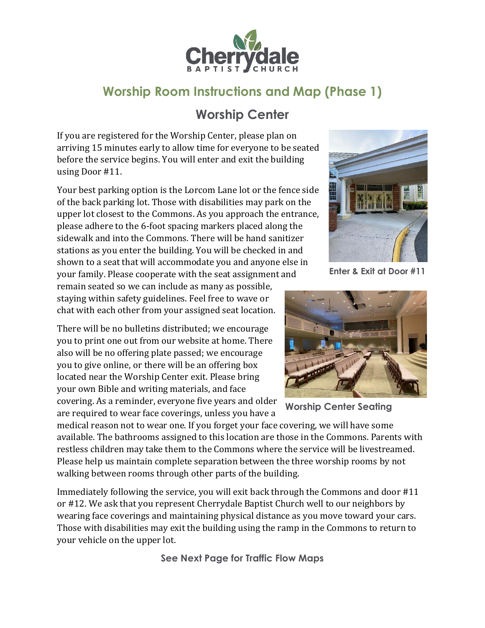

## **Worship Room Instructions and Map (Phase 1)**

## **Worship Center**

If you are registered for the Worship Center, please plan on arriving 15 minutes early to allow time for everyone to be seated before the service begins. You will enter and exit the building using Door #11.

Your best parking option is the Lorcom Lane lot or the fence side of the back parking lot. Those with disabilities may park on the upper lot closest to the Commons. As you approach the entrance, please adhere to the 6-foot spacing markers placed along the sidewalk and into the Commons. There will be hand sanitizer stations as you enter the building. You will be checked in and shown to a seat that will accommodate you and anyone else in your family. Please cooperate with the seat assignment and remain seated so we can include as many as possible, staying within safety guidelines. Feel free to wave or

chat with each other from your assigned seat location.

There will be no bulletins distributed; we encourage you to print one out from our website at home. There also will be no offering plate passed; we encourage you to give online, or there will be an offering box located near the Worship Center exit. Please bring your own Bible and writing materials, and face covering. As a reminder, everyone five years and older are required to wear face coverings, unless you have a



**Enter & Exit at Door #11**



**Worship Center Seating**

medical reason not to wear one. If you forget your face covering, we will have some available. The bathrooms assigned to this location are those in the Commons. Parents with restless children may take them to the Commons where the service will be livestreamed. Please help us maintain complete separation between the three worship rooms by not walking between rooms through other parts of the building.

Immediately following the service, you will exit back through the Commons and door #11 or #12. We ask that you represent Cherrydale Baptist Church well to our neighbors by wearing face coverings and maintaining physical distance as you move toward your cars. Those with disabilities may exit the building using the ramp in the Commons to return to your vehicle on the upper lot.

**See Next Page for Traffic Flow Maps**